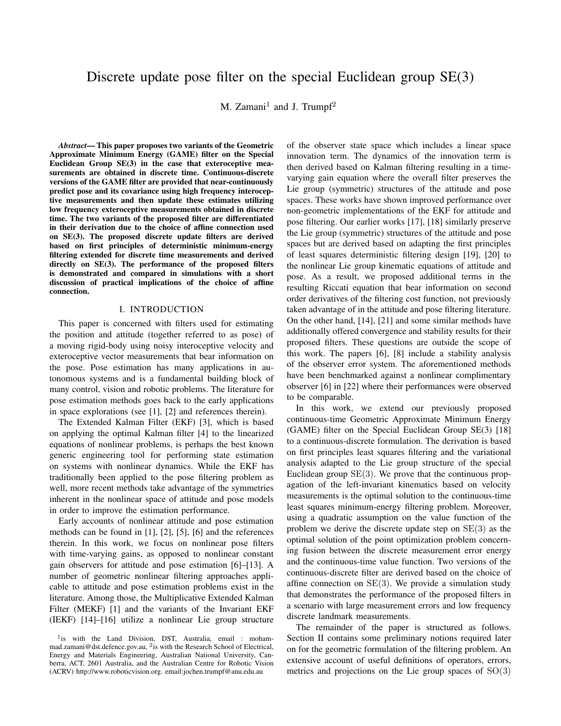# Discrete update pose filter on the special Euclidean group SE(3)

M. Zamani<sup>1</sup> and J. Trumpf<sup>2</sup>

*Abstract*— This paper proposes two variants of the Geometric Approximate Minimum Energy (GAME) filter on the Special Euclidean Group SE(3) in the case that exteroceptive measurements are obtained in discrete time. Continuous-discrete versions of the GAME filter are provided that near-continuously predict pose and its covariance using high frequency interoceptive measurements and then update these estimates utilizing low frequency exteroceptive measurements obtained in discrete time. The two variants of the proposed filter are differentiated in their derivation due to the choice of affine connection used on SE(3). The proposed discrete update filters are derived based on first principles of deterministic minimum-energy filtering extended for discrete time measurements and derived directly on SE(3). The performance of the proposed filters is demonstrated and compared in simulations with a short discussion of practical implications of the choice of affine connection.

#### I. INTRODUCTION

This paper is concerned with filters used for estimating the position and attitude (together referred to as pose) of a moving rigid-body using noisy interoceptive velocity and exteroceptive vector measurements that bear information on the pose. Pose estimation has many applications in autonomous systems and is a fundamental building block of many control, vision and robotic problems. The literature for pose estimation methods goes back to the early applications in space explorations (see [1], [2] and references therein).

The Extended Kalman Filter (EKF) [3], which is based on applying the optimal Kalman filter [4] to the linearized equations of nonlinear problems, is perhaps the best known generic engineering tool for performing state estimation on systems with nonlinear dynamics. While the EKF has traditionally been applied to the pose filtering problem as well, more recent methods take advantage of the symmetries inherent in the nonlinear space of attitude and pose models in order to improve the estimation performance.

Early accounts of nonlinear attitude and pose estimation methods can be found in [1], [2], [5], [6] and the references therein. In this work, we focus on nonlinear pose filters with time-varying gains, as opposed to nonlinear constant gain observers for attitude and pose estimation [6]–[13]. A number of geometric nonlinear filtering approaches applicable to attitude and pose estimation problems exist in the literature. Among those, the Multiplicative Extended Kalman Filter (MEKF) [1] and the variants of the Invariant EKF (IEKF) [14]–[16] utilize a nonlinear Lie group structure

of the observer state space which includes a linear space innovation term. The dynamics of the innovation term is then derived based on Kalman filtering resulting in a timevarying gain equation where the overall filter preserves the Lie group (symmetric) structures of the attitude and pose spaces. These works have shown improved performance over non-geometric implementations of the EKF for attitude and pose filtering. Our earlier works [17], [18] similarly preserve the Lie group (symmetric) structures of the attitude and pose spaces but are derived based on adapting the first principles of least squares deterministic filtering design [19], [20] to the nonlinear Lie group kinematic equations of attitude and pose. As a result, we proposed additional terms in the resulting Riccati equation that bear information on second order derivatives of the filtering cost function, not previously taken advantage of in the attitude and pose filtering literature. On the other hand, [14], [21] and some similar methods have additionally offered convergence and stability results for their proposed filters. These questions are outside the scope of this work. The papers [6], [8] include a stability analysis of the observer error system. The aforementioned methods have been benchmarked against a nonlinear complimentary observer [6] in [22] where their performances were observed to be comparable.

In this work, we extend our previously proposed continuous-time Geometric Approximate Minimum Energy (GAME) filter on the Special Euclidean Group SE(3) [18] to a continuous-discrete formulation. The derivation is based on first principles least squares filtering and the variational analysis adapted to the Lie group structure of the special Euclidean group  $SE(3)$ . We prove that the continuous propagation of the left-invariant kinematics based on velocity measurements is the optimal solution to the continuous-time least squares minimum-energy filtering problem. Moreover, using a quadratic assumption on the value function of the problem we derive the discrete update step on  $SE(3)$  as the optimal solution of the point optimization problem concerning fusion between the discrete measurement error energy and the continuous-time value function. Two versions of the continuous-discrete filter are derived based on the choice of affine connection on  $SE(3)$ . We provide a simulation study that demonstrates the performance of the proposed filters in a scenario with large measurement errors and low frequency discrete landmark measurements.

The remainder of the paper is structured as follows. Section II contains some preliminary notions required later on for the geometric formulation of the filtering problem. An extensive account of useful definitions of operators, errors, metrics and projections on the Lie group spaces of  $SO(3)$ 

<sup>&</sup>lt;sup>1</sup>is with the Land Division, DST, Australia, email : mohammad.zamani@dst.defence.gov.au, <sup>2</sup>is with the Research School of Electrical, Energy and Materials Engineering, Australian National University, Canberra, ACT, 2601 Australia, and the Australian Centre for Robotic Vision (ACRV) http://www.roboticvision.org. email:jochen.trumpf@anu.edu.au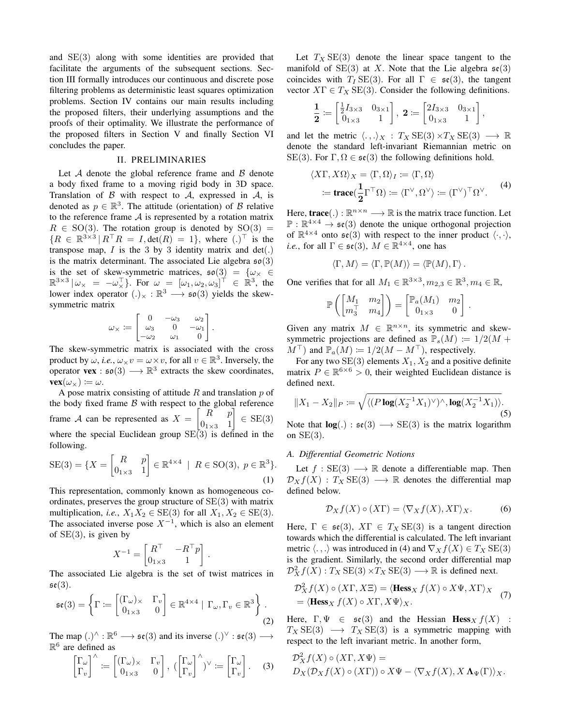and SE(3) along with some identities are provided that facilitate the arguments of the subsequent sections. Section III formally introduces our continuous and discrete pose filtering problems as deterministic least squares optimization problems. Section IV contains our main results including the proposed filters, their underlying assumptions and the proofs of their optimality. We illustrate the performance of the proposed filters in Section V and finally Section VI concludes the paper.

## II. PRELIMINARIES

Let  $A$  denote the global reference frame and  $B$  denote a body fixed frame to a moving rigid body in 3D space. Translation of  $\beta$  with respect to  $\mathcal{A}$ , expressed in  $\mathcal{A}$ , is denoted as  $p \in \mathbb{R}^3$ . The attitude (orientation) of B relative to the reference frame  $A$  is represented by a rotation matrix  $R \in SO(3)$ . The rotation group is denoted by  $SO(3) =$  ${R \in \mathbb{R}^{3 \times 3} | R^{\top}R = I, \text{det}(R) = 1}, \text{ where } (.)^{\top} \text{ is the}$ transpose map,  $I$  is the 3 by 3 identity matrix and  $det(.)$ is the matrix determinant. The associated Lie algebra  $\mathfrak{so}(3)$ is the set of skew-symmetric matrices,  $\mathfrak{so}(3) = \{ \omega_{\times} \in$  $\mathbb{R}^{3\times3}|\omega_{\times} = -\omega_{\times}^{T}$ . For  $\omega = [\omega_{1}, \omega_{2}, \omega_{3}]^{T} \in \mathbb{R}^{3}$ , the lower index operator  $(.) \times : \mathbb{R}^3 \longrightarrow \mathfrak{so}(3)$  yields the skewsymmetric matrix

$$
\omega_\times \coloneqq \begin{bmatrix} 0 & -\omega_3 & \omega_2 \\ \omega_3 & 0 & -\omega_1 \\ -\omega_2 & \omega_1 & 0 \end{bmatrix}.
$$

The skew-symmetric matrix is associated with the cross product by  $\omega$ , *i.e.*,  $\omega \times v = \omega \times v$ , for all  $v \in \mathbb{R}^3$ . Inversely, the operator **vex** :  $\mathfrak{so}(3) \longrightarrow \mathbb{R}^3$  extracts the skew coordinates,  $\mathbf{vex}(\omega_{\times}) \coloneqq \omega.$ 

A pose matrix consisting of attitude  $R$  and translation  $p$  of the body fixed frame  $\beta$  with respect to the global reference frame A can be represented as  $X = \begin{bmatrix} R & p \\ 0 & 1 \end{bmatrix}$  $0_{1\times3}$  1  $\Big] \in \text{SE}(3)$ where the special Euclidean group  $SE(3)$  is defined in the following.

SE(3) = {
$$
X = \begin{bmatrix} R & p \\ 0_{1 \times 3} & 1 \end{bmatrix} \in \mathbb{R}^{4 \times 4} \mid R \in SO(3), p \in \mathbb{R}^{3}
$$
}. (1)

This representation, commonly known as homogeneous coordinates, preserves the group structure of SE(3) with matrix multiplication, *i.e.*,  $X_1X_2 \in SE(3)$  for all  $X_1, X_2 \in SE(3)$ . The associated inverse pose  $X^{-1}$ , which is also an element of  $SE(3)$ , is given by

$$
X^{-1} = \begin{bmatrix} R^\top & -R^\top p \\ 0_{1 \times 3} & 1 \end{bmatrix}
$$

.

The associated Lie algebra is the set of twist matrices in  $\mathfrak{se}(3)$ .

$$
\mathfrak{se}(3) = \left\{ \Gamma := \begin{bmatrix} (\Gamma_{\omega})_{\times} & \Gamma_{v} \\ 0_{1\times 3} & 0 \end{bmatrix} \in \mathbb{R}^{4\times 4} \mid \Gamma_{\omega}, \Gamma_{v} \in \mathbb{R}^{3} \right\}.
$$
\n(2)

The map  $(.)^{\wedge} : \mathbb{R}^6 \longrightarrow \mathfrak{se}(3)$  and its inverse  $(.)^{\vee} : \mathfrak{se}(3) \longrightarrow$  $\mathbb{R}^6$  are defined as

$$
\begin{bmatrix} \Gamma_{\omega} \\ \Gamma_{v} \end{bmatrix}^{\wedge} := \begin{bmatrix} (\Gamma_{\omega})_{\times} & \Gamma_{v} \\ 0_{1 \times 3} & 0 \end{bmatrix}, \, (\begin{bmatrix} \Gamma_{\omega} \\ \Gamma_{v} \end{bmatrix}^{\wedge})^{\vee} := \begin{bmatrix} \Gamma_{\omega} \\ \Gamma_{v} \end{bmatrix}. \quad (3)
$$

Let  $T_X$  SE(3) denote the linear space tangent to the manifold of  $SE(3)$  at X. Note that the Lie algebra  $se(3)$ coincides with  $T_I$  SE(3). For all  $\Gamma \in \mathfrak{se}(3)$ , the tangent vector  $X\Gamma \in T_X \text{SE}(3)$ . Consider the following definitions.

$$
\frac{\mathbf{1}}{\mathbf{2}} \coloneqq \begin{bmatrix} \frac{1}{2}I_{3\times 3} & 0_{3\times 1} \\ 0_{1\times 3} & 1 \end{bmatrix}, \ \mathbf{2} \coloneqq \begin{bmatrix} 2I_{3\times 3} & 0_{3\times 1} \\ 0_{1\times 3} & 1 \end{bmatrix},
$$

and let the metric  $\langle ., . \rangle_X : T_X \text{SE}(3) \times T_X \text{SE}(3) \longrightarrow \mathbb{R}$ denote the standard left-invariant Riemannian metric on SE(3). For  $\Gamma, \Omega \in \mathfrak{se}(3)$  the following definitions hold.

$$
\langle X\Gamma, X\Omega \rangle_X = \langle \Gamma, \Omega \rangle_I := \langle \Gamma, \Omega \rangle
$$
  
 := **trace**( $\frac{1}{2}\Gamma^{\top}\Omega$ ) :=  $\langle \Gamma^{\vee}, \Omega^{\vee} \rangle := (\Gamma^{\vee})^{\top}\Omega^{\vee}$ . (4)

Here, **trace**(.) :  $\mathbb{R}^{n \times n} \longrightarrow \mathbb{R}$  is the matrix trace function. Let  $\mathbb{P}: \mathbb{R}^{4 \times 4} \to \mathfrak{se}(3)$  denote the unique orthogonal projection of  $\mathbb{R}^{4\times4}$  onto  $\mathfrak{se}(3)$  with respect to the inner product  $\langle \cdot, \cdot \rangle$ , *i.e.*, for all  $\Gamma \in \mathfrak{se}(3)$ ,  $M \in \mathbb{R}^{4 \times 4}$ , one has

$$
\langle \Gamma, M \rangle = \langle \Gamma, \mathbb{P}(M) \rangle = \langle \mathbb{P}(M), \Gamma \rangle \,.
$$

One verifies that for all  $M_1 \in \mathbb{R}^{3 \times 3}, m_{2,3} \in \mathbb{R}^3, m_4 \in \mathbb{R}$ ,

$$
\mathbb{P}\left(\begin{bmatrix} M_1 & m_2 \\ m_3^\top & m_4 \end{bmatrix}\right) = \begin{bmatrix} \mathbb{P}_a(M_1) & m_2 \\ 0_{1 \times 3} & 0 \end{bmatrix}.
$$

Given any matrix  $M \in \mathbb{R}^{n \times n}$ , its symmetric and skewsymmetric projections are defined as  $\mathbb{P}_{s}(M) := 1/2(M +$  $M^{\perp}$  and  $\mathbb{P}_{a}(M) \coloneqq 1/2(M - M^{\perp})$ , respectively.

For any two  $SE(3)$  elements  $X_1, X_2$  and a positive definite matrix  $P \in \mathbb{R}^{6 \times 6} > 0$ , their weighted Euclidean distance is defined next.

$$
||X_1 - X_2||_P := \sqrt{\langle (P \log(X_2^{-1} X_1)^\vee)^\wedge, \log(X_2^{-1} X_1) \rangle}.
$$
\n(5)

Note that  $log(.) : \mathfrak{se}(3) \longrightarrow SE(3)$  is the matrix logarithm on  $SE(3)$ .

#### *A. Differential Geometric Notions*

Let  $f : SE(3) \longrightarrow \mathbb{R}$  denote a differentiable map. Then  $\mathcal{D}_X f(X) : T_X \text{SE}(3) \longrightarrow \mathbb{R}$  denotes the differential map defined below.

$$
\mathcal{D}_X f(X) \circ (X\Gamma) = \langle \nabla_X f(X), X\Gamma \rangle_X. \tag{6}
$$

Here,  $\Gamma \in \mathfrak{se}(3)$ ,  $X\Gamma \in T_X \text{SE}(3)$  is a tangent direction towards which the differential is calculated. The left invariant metric  $\langle ., . \rangle$  was introduced in (4) and  $\nabla_X f(X) \in T_X \text{SE}(3)$ is the gradient. Similarly, the second order differential map  $\mathcal{D}_X^2 f(X) : T_X \text{SE}(3) \times T_X \text{SE}(3) \longrightarrow \mathbb{R}$  is defined next.

$$
\mathcal{D}_X^2 f(X) \circ (X\Gamma, X\Xi) = \langle \textbf{Hess}_X f(X) \circ X\Psi, X\Gamma \rangle_X
$$
  
=  $\langle \textbf{Hess}_X f(X) \circ X\Gamma, X\Psi \rangle_X.$  (7)

Here,  $\Gamma, \Psi \in \mathfrak{se}(3)$  and the Hessian  $\mathbf{Hess}_X f(X)$  :  $T_X$  SE(3)  $\longrightarrow$   $T_X$  SE(3) is a symmetric mapping with respect to the left invariant metric. In another form,

$$
\mathcal{D}^2_X f(X) \circ (X\Gamma, X\Psi) =
$$
  
 
$$
D_X(\mathcal{D}_X f(X) \circ (X\Gamma)) \circ X\Psi - \langle \nabla_X f(X), X \Lambda_{\Psi}(\Gamma) \rangle_X.
$$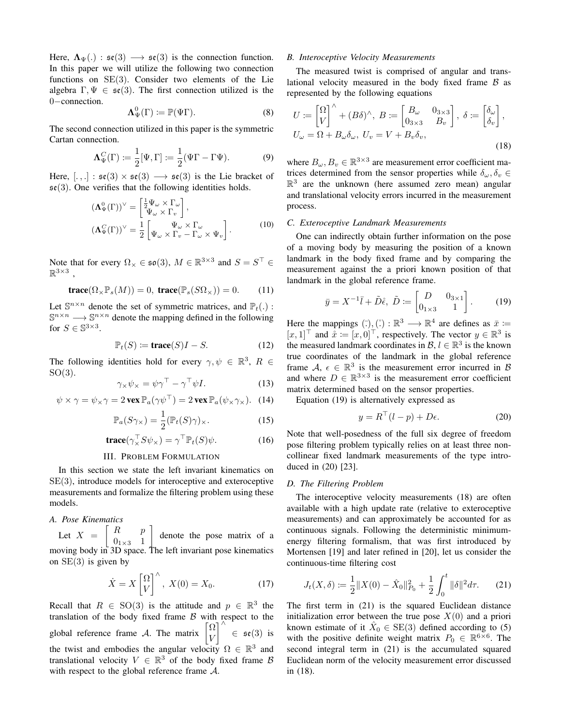Here,  $\Lambda_{\Psi}$ (.):  $\mathfrak{se}(3) \longrightarrow \mathfrak{se}(3)$  is the connection function. In this paper we will utilize the following two connection functions on SE(3). Consider two elements of the Lie algebra  $\Gamma, \Psi \in \mathfrak{se}(3)$ . The first connection utilized is the 0−connection.

$$
\Lambda_{\Psi}^{0}(\Gamma) \coloneqq \mathbb{P}(\Psi \Gamma). \tag{8}
$$

The second connection utilized in this paper is the symmetric Cartan connection.

$$
\Lambda_{\Psi}^C(\Gamma) \coloneqq \frac{1}{2} [\Psi, \Gamma] \coloneqq \frac{1}{2} (\Psi \Gamma - \Gamma \Psi). \tag{9}
$$

Here,  $[.,.]: \mathfrak{se}(3) \times \mathfrak{se}(3) \longrightarrow \mathfrak{se}(3)$  is the Lie bracket of  $\mathfrak{se}(3)$ . One verifies that the following identities holds.

$$
\begin{aligned} (\mathbf{\Lambda}_{\Psi}^{0}(\Gamma))^{\vee} &= \begin{bmatrix} \frac{1}{2} \Psi_{\omega} \times \Gamma_{\omega} \\ \Psi_{\omega} \times \Gamma_{v} \end{bmatrix}, \\ (\mathbf{\Lambda}_{\Psi}^{C}(\Gamma))^{\vee} &= \frac{1}{2} \begin{bmatrix} \Psi_{\omega} \times \Gamma_{\omega} \\ \Psi_{\omega} \times \Gamma_{v} - \Gamma_{\omega} \times \Psi_{v} \end{bmatrix}. \end{aligned} \tag{10}
$$

Note that for every  $\Omega_{\times} \in \mathfrak{so}(3)$ ,  $M \in \mathbb{R}^{3 \times 3}$  and  $S = S^{\top} \in \mathbb{R}^{3 \times 3}$  $\mathbb{R}^{3\times 3}$ ,

$$
\mathbf{trace}(\Omega_{\times}\mathbb{P}_{s}(M))=0, \ \mathbf{trace}(\mathbb{P}_{s}(S\Omega_{\times}))=0. \tag{11}
$$

Let  $\mathbb{S}^{n \times n}$  denote the set of symmetric matrices, and  $\mathbb{P}_t(.)$ :  $\mathbb{S}^{n \times n} \longrightarrow \mathbb{S}^{n \times n}$  denote the mapping defined in the following for  $S \in \mathbb{S}^{3 \times 3}$ .

$$
\mathbb{P}_t(S) := \mathbf{trace}(S)I - S. \tag{12}
$$

The following identities hold for every  $\gamma, \psi \in \mathbb{R}^3$ ,  $R \in$  $SO(3)$ .

$$
\gamma_{\times}\psi_{\times} = \psi\gamma^{\top} - \gamma^{\top}\psi I. \tag{13}
$$

$$
\psi \times \gamma = \psi_{\times} \gamma = 2 \operatorname{vex} \mathbb{P}_a(\gamma \psi^{\top}) = 2 \operatorname{vex} \mathbb{P}_a(\psi_{\times} \gamma_{\times}). \quad (14)
$$

$$
\mathbb{P}_a(S\gamma_\times) = \frac{1}{2} (\mathbb{P}_t(S)\gamma)_\times.
$$
 (15)

$$
\mathbf{trace}(\gamma_{\times}^{\top} S \psi_{\times}) = \gamma^{\top} \mathbb{P}_t(S) \psi.
$$
 (16)

## III. PROBLEM FORMULATION

In this section we state the left invariant kinematics on SE(3), introduce models for interoceptive and exteroceptive measurements and formalize the filtering problem using these models.

# *A. Pose Kinematics*

Let  $X = \begin{bmatrix} R & p \\ 0 & 1 \end{bmatrix}$  $0_{1\times3}$  1 denote the pose matrix of a moving body in 3D space. The left invariant pose kinematics on  $SE(3)$  is given by

$$
\dot{X} = X \begin{bmatrix} \Omega \\ V \end{bmatrix}^{\wedge}, \ X(0) = X_0. \tag{17}
$$

Recall that  $R \in SO(3)$  is the attitude and  $p \in \mathbb{R}^3$  the translation of the body fixed frame  $\beta$  with respect to the global reference frame A. The matrix  $\begin{bmatrix} \Omega \\ V \end{bmatrix}$ V  $\Big\}^{\wedge} \in \mathfrak{se}(3)$  is the twist and embodies the angular velocity  $\Omega \in \mathbb{R}^3$  and translational velocity  $V \in \mathbb{R}^3$  of the body fixed frame B with respect to the global reference frame A.

#### *B. Interoceptive Velocity Measurements*

The measured twist is comprised of angular and translational velocity measured in the body fixed frame  $\beta$  as represented by the following equations

$$
U := \begin{bmatrix} \Omega \\ V \end{bmatrix}^{\wedge} + (B\delta)^{\wedge}, \ B := \begin{bmatrix} B_{\omega} & 0_{3\times3} \\ 0_{3\times3} & B_{\nu} \end{bmatrix}, \ \delta := \begin{bmatrix} \delta_{\omega} \\ \delta_{\nu} \end{bmatrix},
$$

$$
U_{\omega} = \Omega + B_{\omega}\delta_{\omega}, \ U_{v} = V + B_{v}\delta_{v},
$$
(18)

where  $B_{\omega}, B_{\nu} \in \mathbb{R}^{3 \times 3}$  are measurement error coefficient matrices determined from the sensor properties while  $\delta_{\omega}, \delta_{v} \in$  $\mathbb{R}^3$  are the unknown (here assumed zero mean) angular and translational velocity errors incurred in the measurement process.

## *C. Exteroceptive Landmark Measurements*

One can indirectly obtain further information on the pose of a moving body by measuring the position of a known landmark in the body fixed frame and by comparing the measurement against the a priori known position of that landmark in the global reference frame.

$$
\bar{y} = X^{-1}\bar{l} + \tilde{D}\dot{\epsilon}, \ \tilde{D} := \begin{bmatrix} D & 0_{3 \times 1} \\ 0_{1 \times 3} & 1 \end{bmatrix}.
$$
 (19)

Here the mappings  $(\bar{\cdot})$ , $(\bar{\cdot}) : \mathbb{R}^3 \longrightarrow \mathbb{R}^4$  are defines as  $\bar{x} :=$ [x, 1]<sup>⊤</sup> and  $\hat{x} := [x, 0]^\top$ , respectively. The vector  $y \in \mathbb{R}^3$  is the measured landmark coordinates in  $\mathcal{B}, l \in \mathbb{R}^3$  is the known true coordinates of the landmark in the global reference frame A,  $\epsilon \in \mathbb{R}^3$  is the measurement error incurred in B and where  $D \in \mathbb{R}^{3 \times 3}$  is the measurement error coefficient matrix determined based on the sensor properties.

Equation (19) is alternatively expressed as

$$
y = R^+(l-p) + D\epsilon.
$$
 (20)

Note that well-posedness of the full six degree of freedom pose filtering problem typically relies on at least three noncollinear fixed landmark measurements of the type introduced in (20) [23].

## *D. The Filtering Problem*

The interoceptive velocity measurements (18) are often available with a high update rate (relative to exteroceptive measurements) and can approximately be accounted for as continuous signals. Following the deterministic minimumenergy filtering formalism, that was first introduced by Mortensen [19] and later refined in [20], let us consider the continuous-time filtering cost

$$
J_t(X,\delta) := \frac{1}{2} \|X(0) - \hat{X}_0\|_{P_0}^2 + \frac{1}{2} \int_0^t \|\delta\|^2 d\tau.
$$
 (21)

The first term in (21) is the squared Euclidean distance initialization error between the true pose  $X(0)$  and a priori known estimate of it  $\hat{X}_0 \in \text{SE}(3)$  defined according to (5) with the positive definite weight matrix  $P_0 \in \mathbb{R}^{6 \times 6}$ . The second integral term in (21) is the accumulated squared Euclidean norm of the velocity measurement error discussed in (18).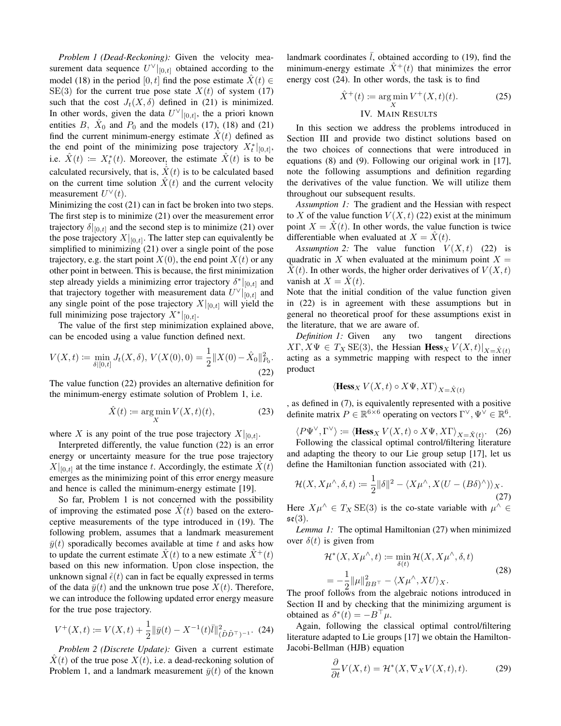*Problem 1 (Dead-Reckoning):* Given the velocity measurement data sequence  $U^{\vee}|_{[0,t]}$  obtained according to the model (18) in the period [0, t] find the pose estimate  $\hat{X}(t) \in$ SE(3) for the current true pose state  $X(t)$  of system (17) such that the cost  $J_t(X, \delta)$  defined in (21) is minimized. In other words, given the data  $U^{\vee}|_{[0,t]}$ , the a priori known entities B,  $\hat{X}_0$  and  $P_0$  and the models (17), (18) and (21) find the current minimum-energy estimate  $\hat{X}(t)$  defined as the end point of the minimizing pose trajectory  $X_t^*|_{[0,t]},$ i.e.  $\hat{X}(t) := X_t^*(t)$ . Moreover, the estimate  $\hat{X}(t)$  is to be calculated recursively, that is,  $\hat{X}(t)$  is to be calculated based on the current time solution  $\hat{X}(t)$  and the current velocity measurement  $U^{\vee}(t)$ .

Minimizing the cost (21) can in fact be broken into two steps. The first step is to minimize (21) over the measurement error trajectory  $\delta|_{[0,t]}$  and the second step is to minimize (21) over the pose trajectory  $X|_{[0,t]}$ . The latter step can equivalently be simplified to minimizing (21) over a single point of the pose trajectory, e.g. the start point  $X(0)$ , the end point  $X(t)$  or any other point in between. This is because, the first minimization step already yields a minimizing error trajectory  $\delta^*|_{[0,t]}$  and that trajectory together with measurement data  $U^{\vee}|_{[0,t]}$  and any single point of the pose trajectory  $X|_{[0,t]}$  will yield the full minimizing pose trajectory  $X^*|_{[0,t]}$ .

The value of the first step minimization explained above, can be encoded using a value function defined next.

$$
V(X,t) := \min_{\delta|[0,t]} J_t(X,\delta), \, V(X(0),0) = \frac{1}{2} ||X(0) - \hat{X}_0||_{P_0}^2.
$$
\n(22)

The value function (22) provides an alternative definition for the minimum-energy estimate solution of Problem 1, i.e.

$$
\hat{X}(t) \coloneqq \underset{X}{\text{arg min}} \, V(X, t)(t),\tag{23}
$$

where X is any point of the true pose trajectory  $X|_{[0,t]}$ .

Interpreted differently, the value function (22) is an error energy or uncertainty measure for the true pose trajectory  $X|_{[0,t]}$  at the time instance t. Accordingly, the estimate  $X(t)$ emerges as the minimizing point of this error energy measure and hence is called the minimum-energy estimate [19].

So far, Problem 1 is not concerned with the possibility of improving the estimated pose  $\hat{X}(t)$  based on the exteroceptive measurements of the type introduced in (19). The following problem, assumes that a landmark measurement  $\bar{y}(t)$  sporadically becomes available at time t and asks how to update the current estimate  $\hat{X}(t)$  to a new estimate  $\hat{X}^{+}(t)$ based on this new information. Upon close inspection, the unknown signal  $\hat{\epsilon}(t)$  can in fact be equally expressed in terms of the data  $\bar{y}(t)$  and the unknown true pose  $X(t)$ . Therefore, we can introduce the following updated error energy measure for the true pose trajectory.

$$
V^+(X,t) := V(X,t) + \frac{1}{2} \|\bar{y}(t) - X^{-1}(t)\bar{l}\|_{(\tilde{D}\tilde{D}^\top)^{-1}}^2.
$$
 (24)

*Problem 2 (Discrete Update):* Given a current estimate  $\ddot{X}(t)$  of the true pose  $X(t)$ , i.e. a dead-reckoning solution of Problem 1, and a landmark measurement  $\bar{y}(t)$  of the known landmark coordinates  $\overline{l}$ , obtained according to (19), find the minimum-energy estimate  $\hat{X}^+(t)$  that minimizes the error energy cost (24). In other words, the task is to find

$$
\hat{X}^+(t) := \underset{X}{\text{arg min}} V^+(X,t)(t). \tag{25}
$$

## IV. MAIN RESULTS

In this section we address the problems introduced in Section III and provide two distinct solutions based on the two choices of connections that were introduced in equations (8) and (9). Following our original work in [17], note the following assumptions and definition regarding the derivatives of the value function. We will utilize them throughout our subsequent results.

*Assumption 1:* The gradient and the Hessian with respect to X of the value function  $V(X, t)$  (22) exist at the minimum point  $X = \dot{X}(t)$ . In other words, the value function is twice differentiable when evaluated at  $X = \dot{X}(t)$ .

*Assumption 2:* The value function  $V(X, t)$  (22) is quadratic in X when evaluated at the minimum point  $X =$  $X(t)$ . In other words, the higher order derivatives of  $V(X, t)$ vanish at  $X = \hat{X}(t)$ .

Note that the initial condition of the value function given in (22) is in agreement with these assumptions but in general no theoretical proof for these assumptions exist in the literature, that we are aware of.

*Definition 1:* Given any two tangent directions  $X\Gamma, X\Psi \in T_X \text{SE}(3)$ , the Hessian  $\text{Hess}_X V(X,t)|_{X=\hat{X}(t)}$ acting as a symmetric mapping with respect to the inner product

$$
\langle \text{Hess}_X V(X, t) \circ X \Psi, X \Gamma \rangle_{X = \hat{X}(t)}
$$

, as defined in (7), is equivalently represented with a positive definite matrix  $P \in \mathbb{R}^{6 \times 6}$  operating on vectors  $\Gamma^{\vee}, \Psi^{\vee} \in \mathbb{R}^{6}$ .

$$
\langle P\Psi^\vee, \Gamma^\vee \rangle := \langle \text{Hess}_X \ V(X, t) \circ X\Psi, X\Gamma \rangle_{X = \hat{X}(t)}.
$$
 (26)

Following the classical optimal control/filtering literature and adapting the theory to our Lie group setup [17], let us define the Hamiltonian function associated with (21).

$$
\mathcal{H}(X, X\mu^\wedge, \delta, t) := \frac{1}{2} \|\delta\|^2 - \langle X\mu^\wedge, X(U - (B\delta)^\wedge) \rangle_X. \tag{27}
$$

Here  $X\mu^{\wedge} \in T_X \text{SE}(3)$  is the co-state variable with  $\mu^{\wedge} \in$  $\mathfrak{se}(3)$ .

*Lemma 1:* The optimal Hamiltonian (27) when minimized over  $\delta(t)$  is given from

$$
\mathcal{H}^*(X, X\mu^\wedge, t) := \min_{\delta(t)} \mathcal{H}(X, X\mu^\wedge, \delta, t)
$$
  
= 
$$
-\frac{1}{2} \|\mu\|_{BB^\top}^2 - \langle X\mu^\wedge, XU \rangle_X.
$$
 (28)

The proof follows from the algebraic notions introduced in Section II and by checking that the minimizing argument is obtained as  $\delta^*(t) = -B^{\dagger} \mu$ .

Again, following the classical optimal control/filtering literature adapted to Lie groups [17] we obtain the Hamilton-Jacobi-Bellman (HJB) equation

$$
\frac{\partial}{\partial t}V(X,t) = \mathcal{H}^*(X, \nabla_X V(X,t), t). \tag{29}
$$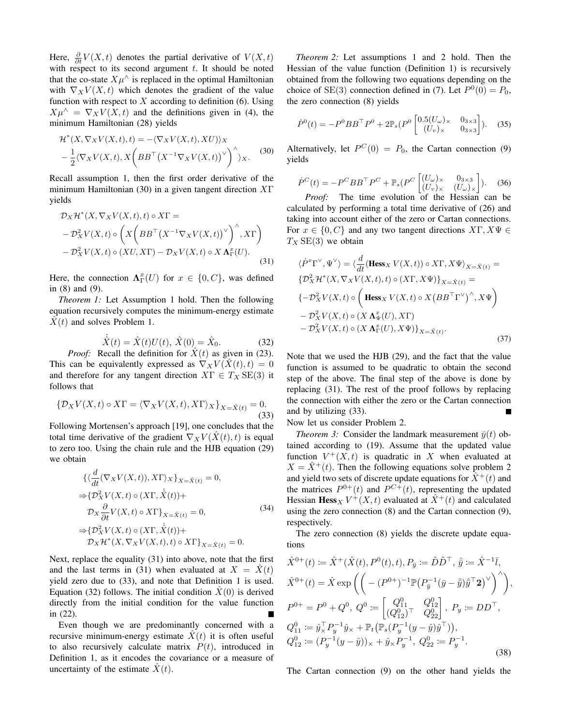Here,  $\frac{\partial}{\partial t}V(X,t)$  denotes the partial derivative of  $V(X,t)$ with respect to its second argument  $t$ . It should be noted that the co-state  $X\mu^{\wedge}$  is replaced in the optimal Hamiltonian with  $\nabla_X V(X, t)$  which denotes the gradient of the value function with respect to  $X$  according to definition (6). Using  $X\mu^{\wedge} = \nabla_X V(X,t)$  and the definitions given in (4), the minimum Hamiltonian (28) yields

$$
\mathcal{H}^*(X, \nabla_X V(X, t), t) = -\langle \nabla_X V(X, t), XU \rangle \rangle_X \n- \frac{1}{2} \langle \nabla_X V(X, t), X \left( B B^\top \left( X^{-1} \nabla_X V(X, t) \right)^\vee \right)^\wedge \rangle_X.
$$
\n(30)

Recall assumption 1, then the first order derivative of the minimum Hamiltonian (30) in a given tangent direction  $X\Gamma$ yields

$$
\mathcal{D}_X \mathcal{H}^*(X, \nabla_X V(X, t), t) \circ X\Gamma =
$$
  
\n
$$
- \mathcal{D}_X^2 V(X, t) \circ \left( X \left( B B^\top \left( X^{-1} \nabla_X V(X, t) \right)^\vee \right)^\wedge, X\Gamma \right)
$$
  
\n
$$
- \mathcal{D}_X^2 V(X, t) \circ (XU, X\Gamma) - \mathcal{D}_X V(X, t) \circ X \Lambda_\Gamma^x(U). \tag{31}
$$

Here, the connection  $\Lambda_{\Gamma}^{x}(U)$  for  $x \in \{0, C\}$ , was defined in (8) and (9).

*Theorem 1:* Let Assumption 1 hold. Then the following equation recursively computes the minimum-energy estimate  $X(t)$  and solves Problem 1.

$$
\dot{\hat{X}}(t) = \hat{X}(t)U(t), \,\hat{X}(0) = \hat{X}_0.
$$
\n(32)

*Proof:* Recall the definition for  $\hat{X}(t)$  as given in (23). This can be equivalently expressed as  $\nabla_X V(\hat{X}(t), t) = 0$ and therefore for any tangent direction  $X\Gamma \in T_X \textmd{SE}(3)$  it follows that

$$
\{\mathcal{D}_X V(X,t) \circ X\Gamma = \langle \nabla_X V(X,t), X\Gamma \rangle_X\}_{X = \hat{X}(t)} = 0.
$$
\n(33)

Following Mortensen's approach [19], one concludes that the total time derivative of the gradient  $\nabla_X V(\hat{X}(t), t)$  is equal to zero too. Using the chain rule and the HJB equation (29) we obtain

$$
\{\langle \frac{d}{dt} (\nabla_X V(X, t)), X\Gamma \rangle_X \}_{X = \hat{X}(t)} = 0,
$$
  
\n
$$
\Rightarrow \{ \mathcal{D}_X^2 V(X, t) \circ (X\Gamma, \dot{\hat{X}}(t)) +
$$
  
\n
$$
\mathcal{D}_X \frac{\partial}{\partial t} V(X, t) \circ X\Gamma \}_{X = \hat{X}(t)} = 0,
$$
  
\n
$$
\Rightarrow \{ \mathcal{D}_X^2 V(X, t) \circ (X\Gamma, \dot{\hat{X}}(t)) +
$$
  
\n
$$
\mathcal{D}_X \mathcal{H}^*(X, \nabla_X V(X, t), t) \circ X\Gamma \}_{X = \hat{X}(t)} = 0.
$$
  
\n(34)

Next, replace the equality (31) into above, note that the first and the last terms in (31) when evaluated at  $X = \hat{X}(t)$ yield zero due to (33), and note that Definition 1 is used. Equation (32) follows. The initial condition  $X(0)$  is derived directly from the initial condition for the value function in (22).

Even though we are predominantly concerned with a recursive minimum-energy estimate  $X(t)$  it is often useful to also recursively calculate matrix  $P(t)$ , introduced in Definition 1, as it encodes the covariance or a measure of uncertainty of the estimate  $\hat{X}(t)$ .

*Theorem 2:* Let assumptions 1 and 2 hold. Then the Hessian of the value function (Definition 1) is recursively obtained from the following two equations depending on the choice of SE(3) connection defined in (7). Let  $P^0(0) = P_0$ , the zero connection (8) yields

$$
\dot{P}^0(t) = -P^0 B B^{\top} P^0 + 2 \mathbb{P}_s (P^0 \begin{bmatrix} 0.5(U_{\omega})_{\times} & 0_{3 \times 3} \\ (U_v)_{\times} & 0_{3 \times 3} \end{bmatrix}).
$$
 (35)

Alternatively, let  $P^{C}(0) = P_0$ , the Cartan connection (9) yields

$$
\dot{P}^C(t) = -P^C B B^\top P^C + \mathbb{P}_s (P^C \begin{bmatrix} (U_\omega)_\times & 0_{3\times 3} \\ (U_v)_\times & (U_\omega)_\times \end{bmatrix}).
$$
 (36)

*Proof:* The time evolution of the Hessian can be calculated by performing a total time derivative of (26) and taking into account either of the zero or Cartan connections. For  $x \in \{0, C\}$  and any two tangent directions  $X\Gamma, X\Psi \in$  $T_X$  SE(3) we obtain

$$
\langle \dot{P}^x \Gamma^\vee, \Psi^\vee \rangle = \langle \frac{d}{dt} (\text{Hess}_X V(X, t)) \circ X\Gamma, X\Psi \rangle_{X = \hat{X}(t)} =
$$
  
\n
$$
\{ \mathcal{D}_X^2 \mathcal{H}^*(X, \nabla_X V(X, t), t) \circ (X\Gamma, X\Psi) \}_{X = \hat{X}(t)} =
$$
  
\n
$$
\{ -\mathcal{D}_X^2 V(X, t) \circ \left( \text{Hess}_X V(X, t) \circ X \left( B B^\top \Gamma^\vee \right)^\wedge, X\Psi \right) -
$$
  
\n
$$
- \mathcal{D}_X^2 V(X, t) \circ (X \Lambda_\Psi^x(U), X\Gamma)
$$
  
\n
$$
- \mathcal{D}_X^2 V(X, t) \circ (X \Lambda_\Gamma^x(U), X\Psi) \}_{X = \hat{X}(t)}.
$$
  
\n(37)

Note that we used the HJB (29), and the fact that the value function is assumed to be quadratic to obtain the second step of the above. The final step of the above is done by replacing (31). The rest of the proof follows by replacing the connection with either the zero or the Cartan connection and by utilizing (33).

Now let us consider Problem 2.

*Theorem 3:* Consider the landmark measurement  $\bar{y}(t)$  obtained according to (19). Assume that the updated value function  $V^+(X,t)$  is quadratic in X when evaluated at  $X = \hat{X}^+(t)$ . Then the following equations solve problem 2 and yield two sets of discrete update equations for  $\hat{X}^+(t)$  and the matrices  $P^{0+}(t)$  and  $P^{C+}(t)$ , representing the updated Hessian Hess<sub>X</sub>  $V^+(X,t)$  evaluated at  $\hat{X}^+(t)$  and calculated using the zero connection (8) and the Cartan connection (9), respectively.

The zero connection (8) yields the discrete update equations

$$
\hat{X}^{0+}(t) := \hat{X}^{+}(\hat{X}(t), P^{0}(t), t), P_{\bar{y}} := \tilde{D}\tilde{D}^{\top}, \hat{y} := \hat{X}^{-1}\bar{l},
$$
\n
$$
\hat{X}^{0+}(t) = \hat{X} \exp\left(\left(-\left(P^{0+}\right)^{-1} \mathbb{P}\left(P_{\bar{y}}^{-1}(\bar{y} - \hat{y})\hat{y}^{\top}\mathbf{2}\right)^{\vee}\right)^{\wedge}\right),
$$
\n
$$
P^{0+} = P^{0} + Q^{0}, \ Q^{0} := \begin{bmatrix} Q^{0}_{11} & Q^{0}_{12} \\ (Q^{0}_{12})^{\top} & Q^{0}_{22} \end{bmatrix}, \ P_{y} := D D^{\top},
$$
\n
$$
Q^{0}_{11} := \hat{y}_{\times}^{\top} P_{y}^{-1} \hat{y}_{\times} + \mathbb{P}_{t} \big(\mathbb{P}_{s} (P_{y}^{-1}(y - \hat{y})\hat{y}^{\top})\big),
$$
\n
$$
Q^{0}_{12} := (P_{y}^{-1}(y - \hat{y}))_{\times} + \hat{y}_{\times} P_{y}^{-1}, \ Q^{0}_{22} := P_{y}^{-1}.
$$
\n(38)

The Cartan connection (9) on the other hand yields the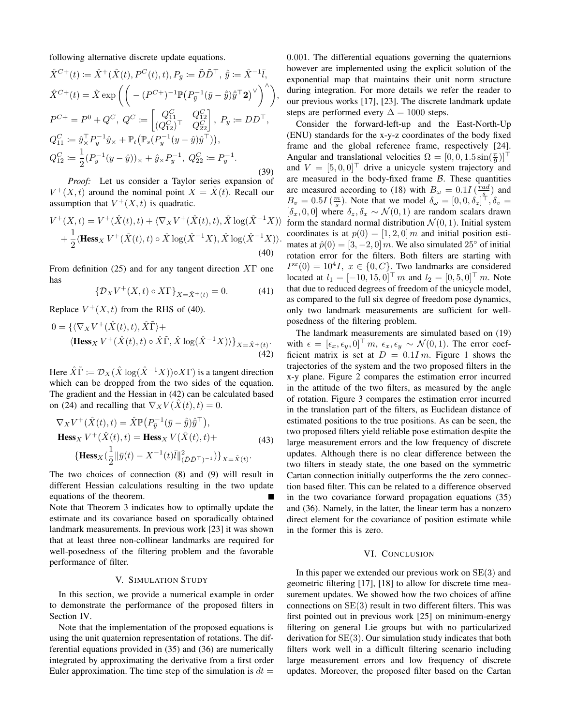following alternative discrete update equations.

$$
\hat{X}^{C+}(t) := \hat{X}^{+}(\hat{X}(t), P^{C}(t), t), P_{\bar{y}} := \tilde{D}\tilde{D}^{\top}, \hat{y} := \hat{X}^{-1}\bar{l},
$$
\n
$$
\hat{X}^{C+}(t) = \hat{X} \exp\left(\left(-\left(P^{C+}\right)^{-1} \mathbb{P}\left(P_{\bar{y}}^{-1}(\bar{y} - \hat{y})\hat{y}^{\top}\mathbf{2}\right)^{\vee}\right)^{\wedge}\right),
$$
\n
$$
P^{C+} = P^{0} + Q^{C}, \ Q^{C} := \begin{bmatrix} Q_{11}^{C} & Q_{12}^{C} \\ (Q_{12}^{C})^{\top} & Q_{22}^{C} \end{bmatrix}, \ P_{y} := D D^{\top},
$$
\n
$$
Q_{11}^{C} := \hat{y}_{\times}^{\top} P_{y}^{-1} \hat{y}_{\times} + \mathbb{P}_{t} \left(\mathbb{P}_{s} (P_{y}^{-1} (y - \hat{y})\hat{y}^{\top})\right),
$$
\n
$$
Q_{12}^{C} := \frac{1}{2} (P_{y}^{-1} (y - \hat{y}))_{\times} + \hat{y}_{\times} P_{y}^{-1}, \ Q_{22}^{C} := P_{y}^{-1}.
$$
\n(39)

*Proof:* Let us consider a Taylor series expansion of  $V^+(X,t)$  around the nominal point  $X = \hat{X}(t)$ . Recall our assumption that  $V^+(X,t)$  is quadratic.

$$
V^{+}(X,t) = V^{+}(\hat{X}(t),t) + \langle \nabla_{X} V^{+}(\hat{X}(t),t), \hat{X} \log(\hat{X}^{-1}X) \rangle + \frac{1}{2} \langle \text{Hess}_{X} V^{+}(\hat{X}(t),t) \circ \hat{X} \log(\hat{X}^{-1}X), \hat{X} \log(\hat{X}^{-1}X) \rangle.
$$
\n(40)

From definition (25) and for any tangent direction  $X\Gamma$  one has

$$
\left\{\mathcal{D}_X V^+(X,t) \circ X\Gamma\right\}_{X=\hat{X}^+(t)} = 0. \tag{41}
$$

Replace  $V^+(X,t)$  from the RHS of (40).

$$
0 = \{ \langle \nabla_X V^+(\hat{X}(t), t), \hat{X}\tilde{\Gamma} \rangle + \langle \textbf{Hess}_X V^+(\hat{X}(t), t) \circ \hat{X}\tilde{\Gamma}, \hat{X} \log(\hat{X}^{-1}X) \rangle \}_{X = \hat{X}^+(t)}.
$$
\n(42)

Here  $\hat{X}\tilde{\Gamma} := \mathcal{D}_X(\hat{X}\log(\hat{X}^{-1}X)) \circ X\Gamma)$  is a tangent direction which can be dropped from the two sides of the equation. The gradient and the Hessian in (42) can be calculated based on (24) and recalling that  $\nabla_X V(X(t), t) = 0$ .

$$
\nabla_X V^+(\hat{X}(t), t) = \hat{X} \mathbb{P}(P_{\bar{y}}^{-1}(\bar{y} - \hat{y})\hat{y}^{\top}),
$$
  
\n
$$
\mathbf{Hess}_X V^+(\hat{X}(t), t) = \mathbf{Hess}_X V(\hat{X}(t), t) +
$$
  
\n
$$
\{\mathbf{Hess}_X (\frac{1}{2} || \bar{y}(t) - X^{-1}(t)\bar{t} ||_{(\tilde{D}\tilde{D}^{\top})^{-1}}^2)\}_{X = \hat{X}(t)}.
$$
\n(43)

The two choices of connection (8) and (9) will result in different Hessian calculations resulting in the two update equations of the theorem. Note that Theorem 3 indicates how to optimally update the estimate and its covariance based on sporadically obtained landmark measurements. In previous work [23] it was shown that at least three non-collinear landmarks are required for

# well-posedness of the filtering problem and the favorable performance of filter.

#### V. SIMULATION STUDY

In this section, we provide a numerical example in order to demonstrate the performance of the proposed filters in Section IV.

Note that the implementation of the proposed equations is using the unit quaternion representation of rotations. The differential equations provided in (35) and (36) are numerically integrated by approximating the derivative from a first order Euler approximation. The time step of the simulation is  $dt =$ 

0.001. The differential equations governing the quaternions however are implemented using the explicit solution of the exponential map that maintains their unit norm structure during integration. For more details we refer the reader to our previous works [17], [23]. The discrete landmark update steps are performed every  $\Delta = 1000$  steps.

Consider the forward-left-up and the East-North-Up (ENU) standards for the x-y-z coordinates of the body fixed frame and the global reference frame, respectively [24]. Angular and translational velocities  $\Omega = [0, 0, 1.5 \sin(\frac{\pi}{9})]^\top$ and  $V = [5, 0, 0]^\top$  drive a unicycle system trajectory and are measured in the body-fixed frame  $\beta$ . These quantities are measured according to (18) with  $B_{\omega} = 0.1I \left( \frac{rad}{s_+} \right)$  and  $B_v = 0.5I\left(\frac{m}{s}\right)$ . Note that we model  $\delta_\omega = [0, 0, \delta_z]^\top$ ,  $\delta_v =$  $[\delta_x, 0, 0]$  where  $\delta_z, \delta_x \sim \mathcal{N}(0, 1)$  are random scalars drawn form the standard normal distribution  $\mathcal{N}(0, 1)$ . Initial system coordinates is at  $p(0) = [1, 2, 0]$  m and initial position estimates at  $\hat{p}(0) = [3, -2, 0]$  m. We also simulated 25° of initial rotation error for the filters. Both filters are starting with  $P^x(0) = 10^4 I$ ,  $x \in \{0, C\}$ . Two landmarks are considered located at  $l_1 = [-10, 15, 0]^\top m$  and  $l_2 = [0, 5, 0]^\top m$ . Note that due to reduced degrees of freedom of the unicycle model, as compared to the full six degree of freedom pose dynamics, only two landmark measurements are sufficient for wellposedness of the filtering problem.

The landmark measurements are simulated based on (19) with  $\epsilon = [\epsilon_x, \epsilon_y, 0]^\top m$ ,  $\epsilon_x, \epsilon_y \sim \mathcal{N}(0, 1)$ . The error coefficient matrix is set at  $D = 0.1Im$ . Figure 1 shows the trajectories of the system and the two proposed filters in the x-y plane. Figure 2 compares the estimation error incurred in the attitude of the two filters, as measured by the angle of rotation. Figure 3 compares the estimation error incurred in the translation part of the filters, as Euclidean distance of estimated positions to the true positions. As can be seen, the two proposed filters yield reliable pose estimation despite the large measurement errors and the low frequency of discrete updates. Although there is no clear difference between the two filters in steady state, the one based on the symmetric Cartan connection initially outperforms the the zero connection based filter. This can be related to a difference observed in the two covariance forward propagation equations (35) and (36). Namely, in the latter, the linear term has a nonzero direct element for the covariance of position estimate while in the former this is zero.

#### VI. CONCLUSION

In this paper we extended our previous work on  $SE(3)$  and geometric filtering [17], [18] to allow for discrete time measurement updates. We showed how the two choices of affine connections on  $SE(3)$  result in two different filters. This was first pointed out in previous work [25] on minimum-energy filtering on general Lie groups but with no particularized derivation for SE(3). Our simulation study indicates that both filters work well in a difficult filtering scenario including large measurement errors and low frequency of discrete updates. Moreover, the proposed filter based on the Cartan